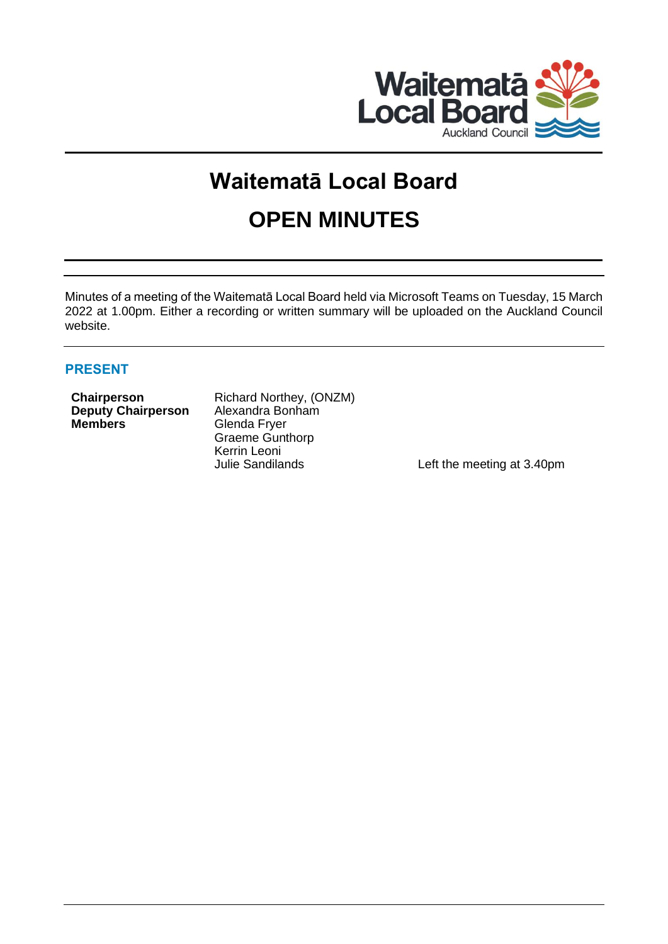

# **Waitematā Local Board OPEN MINUTES**

Minutes of a meeting of the Waitematā Local Board held via Microsoft Teams on Tuesday, 15 March 2022 at 1.00pm. Either a recording or written summary will be uploaded on the Auckland Council website.

# **PRESENT**

| <b>Chairperson</b>        |  |
|---------------------------|--|
| <b>Deputy Chairperson</b> |  |
| <b>Members</b>            |  |

**Richard Northey, (ONZM)** Alexandra Bonham **Glenda Fryer** Graeme Gunthorp Kerrin Leoni<br>Julie Sandilands

Left the meeting at 3.40pm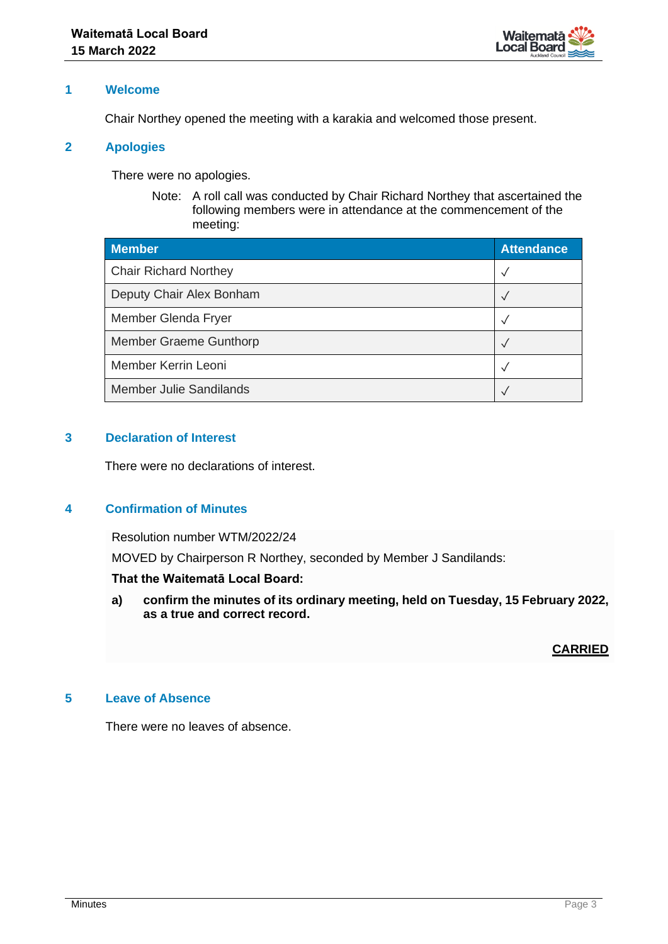

# **1 Welcome**

Chair Northey opened the meeting with a karakia and welcomed those present.

## **2 Apologies**

There were no apologies.

Note: A roll call was conducted by Chair Richard Northey that ascertained the following members were in attendance at the commencement of the meeting:

| <b>Member</b>                  | <b>Attendance</b> |
|--------------------------------|-------------------|
| <b>Chair Richard Northey</b>   | $\checkmark$      |
| Deputy Chair Alex Bonham       | $\checkmark$      |
| Member Glenda Fryer            | $\checkmark$      |
| Member Graeme Gunthorp         | $\checkmark$      |
| Member Kerrin Leoni            | $\checkmark$      |
| <b>Member Julie Sandilands</b> | $\checkmark$      |

# **3 Declaration of Interest**

There were no declarations of interest.

# **4 Confirmation of Minutes**

Resolution number WTM/2022/24

MOVED by Chairperson R Northey, seconded by Member J Sandilands:

## **That the Waitematā Local Board:**

**a) confirm the minutes of its ordinary meeting, held on Tuesday, 15 February 2022, as a true and correct record.**

**CARRIED**

# **5 Leave of Absence**

There were no leaves of absence.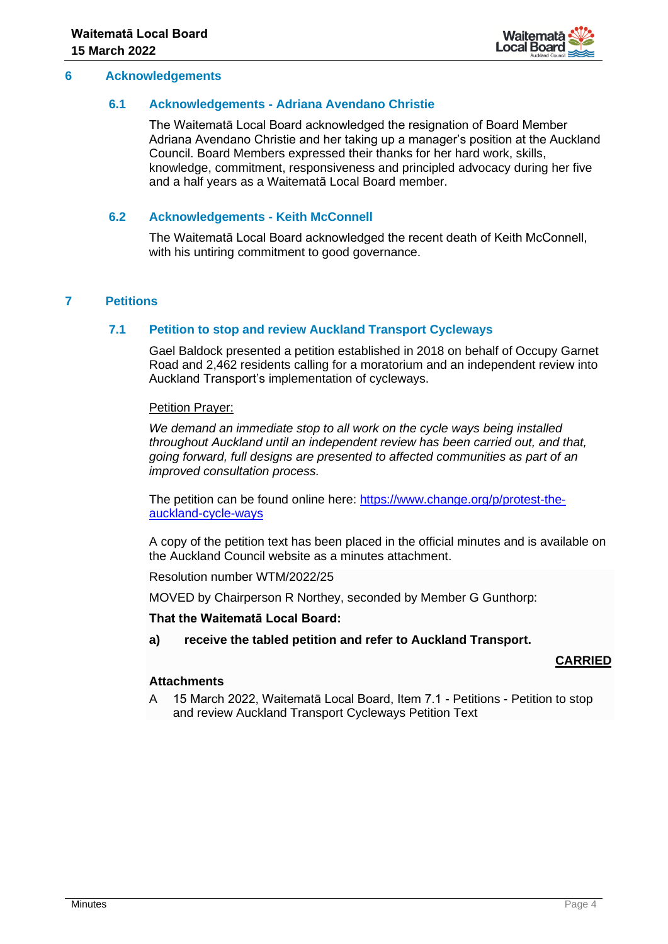

## **6 Acknowledgements**

## **6.1 Acknowledgements - Adriana Avendano Christie**

The Waitematā Local Board acknowledged the resignation of Board Member Adriana Avendano Christie and her taking up a manager's position at the Auckland Council. Board Members expressed their thanks for her hard work, skills, knowledge, commitment, responsiveness and principled advocacy during her five and a half years as a Waitematā Local Board member.

# **6.2 Acknowledgements - Keith McConnell**

The Waitematā Local Board acknowledged the recent death of Keith McConnell, with his untiring commitment to good governance.

# **7 Petitions**

## **7.1 Petition to stop and review Auckland Transport Cycleways**

Gael Baldock presented a petition established in 2018 on behalf of Occupy Garnet Road and 2,462 residents calling for a moratorium and an independent review into Auckland Transport's implementation of cycleways.

Petition Prayer:

*We demand an immediate stop to all work on the cycle ways being installed throughout Auckland until an independent review has been carried out, and that, going forward, full designs are presented to affected communities as part of an improved consultation process.*

The petition can be found online here: [https://www.change.org/p/protest-the](https://www.change.org/p/protest-the-auckland-cycle-ways)[auckland-cycle-ways](https://www.change.org/p/protest-the-auckland-cycle-ways)

A copy of the petition text has been placed in the official minutes and is available on the Auckland Council website as a minutes attachment.

Resolution number WTM/2022/25

MOVED by Chairperson R Northey, seconded by Member G Gunthorp:

## **That the Waitematā Local Board:**

**a) receive the tabled petition and refer to Auckland Transport.**

## **CARRIED**

## **Attachments**

A 15 March 2022, Waitematā Local Board, Item 7.1 - Petitions - Petition to stop and review Auckland Transport Cycleways Petition Text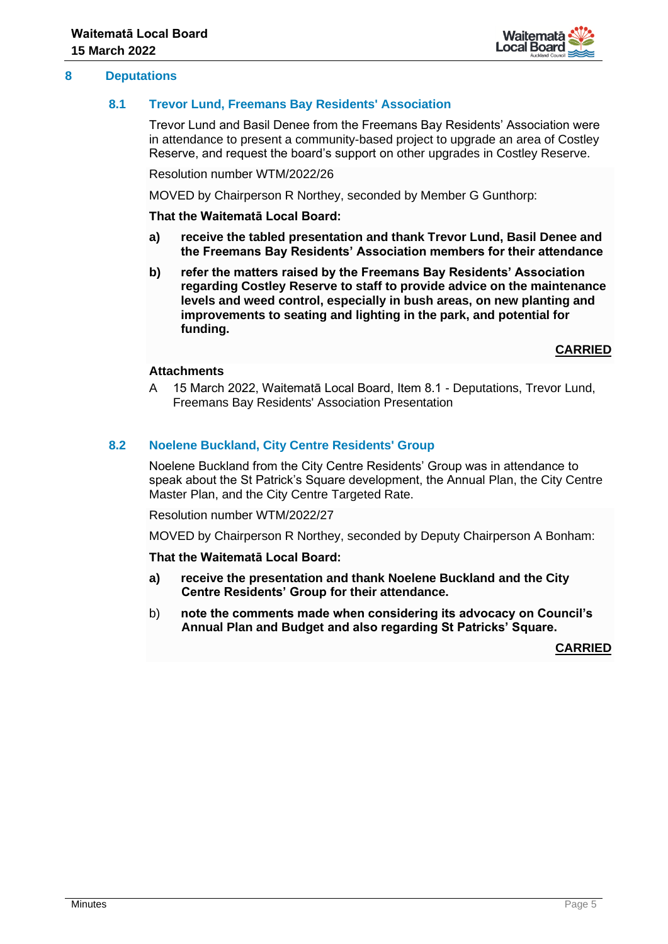

# **8 Deputations**

# **8.1 Trevor Lund, Freemans Bay Residents' Association**

Trevor Lund and Basil Denee from the Freemans Bay Residents' Association were in attendance to present a community-based project to upgrade an area of Costley Reserve, and request the board's support on other upgrades in Costley Reserve.

Resolution number WTM/2022/26

MOVED by Chairperson R Northey, seconded by Member G Gunthorp:

**That the Waitematā Local Board:**

- **a) receive the tabled presentation and thank Trevor Lund, Basil Denee and the Freemans Bay Residents' Association members for their attendance**
- **b) refer the matters raised by the Freemans Bay Residents' Association regarding Costley Reserve to staff to provide advice on the maintenance levels and weed control, especially in bush areas, on new planting and improvements to seating and lighting in the park, and potential for funding.**

**CARRIED**

## **Attachments**

A 15 March 2022, Waitematā Local Board, Item 8.1 - Deputations, Trevor Lund, Freemans Bay Residents' Association Presentation

## **8.2 Noelene Buckland, City Centre Residents' Group**

Noelene Buckland from the City Centre Residents' Group was in attendance to speak about the St Patrick's Square development, the Annual Plan, the City Centre Master Plan, and the City Centre Targeted Rate.

Resolution number WTM/2022/27

MOVED by Chairperson R Northey, seconded by Deputy Chairperson A Bonham:

#### **That the Waitematā Local Board:**

- **a) receive the presentation and thank Noelene Buckland and the City Centre Residents' Group for their attendance.**
- b) **note the comments made when considering its advocacy on Council's Annual Plan and Budget and also regarding St Patricks' Square.**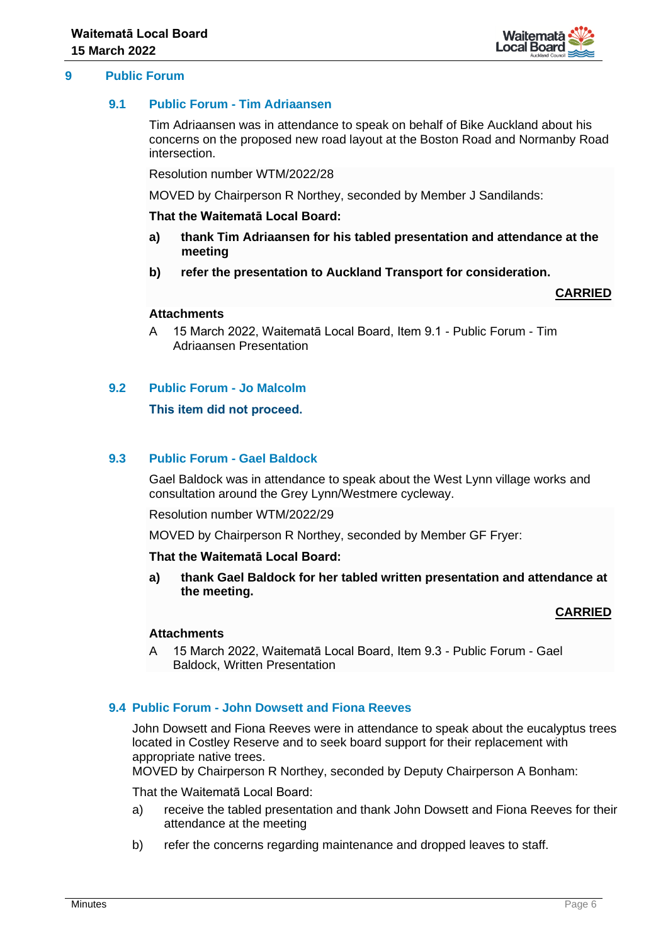

## **9 Public Forum**

## **9.1 Public Forum - Tim Adriaansen**

Tim Adriaansen was in attendance to speak on behalf of Bike Auckland about his concerns on the proposed new road layout at the Boston Road and Normanby Road intersection.

Resolution number WTM/2022/28

MOVED by Chairperson R Northey, seconded by Member J Sandilands:

#### **That the Waitematā Local Board:**

- **a) thank Tim Adriaansen for his tabled presentation and attendance at the meeting**
- **b) refer the presentation to Auckland Transport for consideration.**

## **CARRIED**

# **Attachments**

A 15 March 2022, Waitematā Local Board, Item 9.1 - Public Forum - Tim Adriaansen Presentation

# **9.2 Public Forum - Jo Malcolm**

## **This item did not proceed.**

## **9.3 Public Forum - Gael Baldock**

Gael Baldock was in attendance to speak about the West Lynn village works and consultation around the Grey Lynn/Westmere cycleway.

Resolution number WTM/2022/29

MOVED by Chairperson R Northey, seconded by Member GF Fryer:

## **That the Waitematā Local Board:**

**a) thank Gael Baldock for her tabled written presentation and attendance at the meeting.**

## **CARRIED**

## **Attachments**

A 15 March 2022, Waitematā Local Board, Item 9.3 - Public Forum - Gael Baldock, Written Presentation

## **9.4 Public Forum - John Dowsett and Fiona Reeves**

John Dowsett and Fiona Reeves were in attendance to speak about the eucalyptus trees located in Costley Reserve and to seek board support for their replacement with appropriate native trees.

MOVED by Chairperson R Northey, seconded by Deputy Chairperson A Bonham:

That the Waitematā Local Board:

- a) receive the tabled presentation and thank John Dowsett and Fiona Reeves for their attendance at the meeting
- b) refer the concerns regarding maintenance and dropped leaves to staff.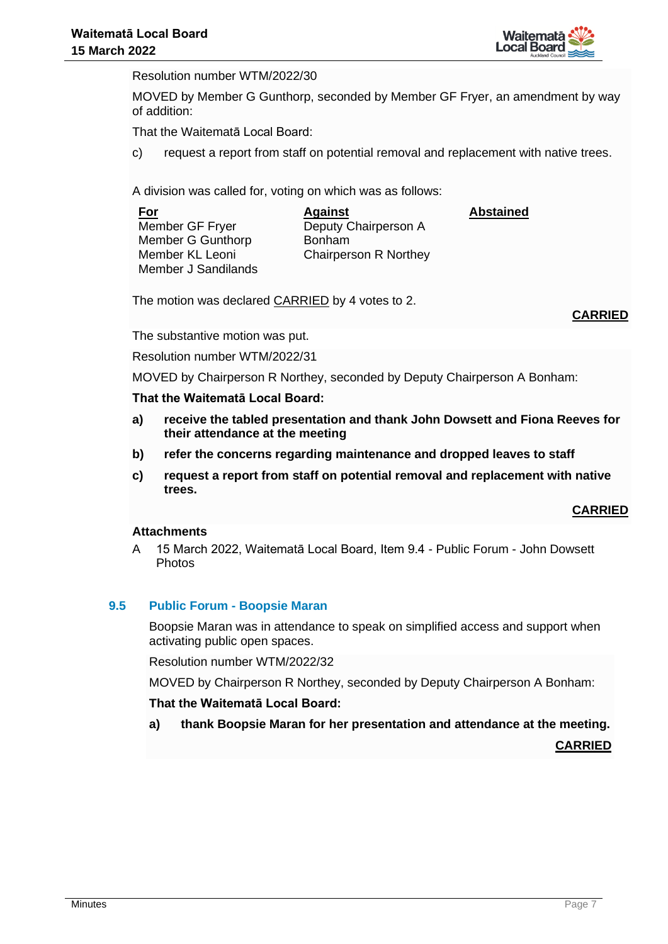

**Abstained**

Resolution number WTM/2022/30

MOVED by Member G Gunthorp, seconded by Member GF Fryer, an amendment by way of addition:

That the Waitematā Local Board:

c) request a report from staff on potential removal and replacement with native trees.

A division was called for, voting on which was as follows:

**For** Member GF Fryer Member G Gunthorp Member KL Leoni Member J Sandilands

**Against** Deputy Chairperson A Bonham Chairperson R Northey

The motion was declared CARRIED by 4 votes to 2.

**CARRIED**

The substantive motion was put.

Resolution number WTM/2022/31

MOVED by Chairperson R Northey, seconded by Deputy Chairperson A Bonham:

## **That the Waitematā Local Board:**

- **a) receive the tabled presentation and thank John Dowsett and Fiona Reeves for their attendance at the meeting**
- **b) refer the concerns regarding maintenance and dropped leaves to staff**
- **c) request a report from staff on potential removal and replacement with native trees.**

## **CARRIED**

## **Attachments**

A 15 March 2022, Waitematā Local Board, Item 9.4 - Public Forum - John Dowsett Photos

## **9.5 Public Forum - Boopsie Maran**

Boopsie Maran was in attendance to speak on simplified access and support when activating public open spaces.

Resolution number WTM/2022/32

MOVED by Chairperson R Northey, seconded by Deputy Chairperson A Bonham:

## **That the Waitematā Local Board:**

**a) thank Boopsie Maran for her presentation and attendance at the meeting.**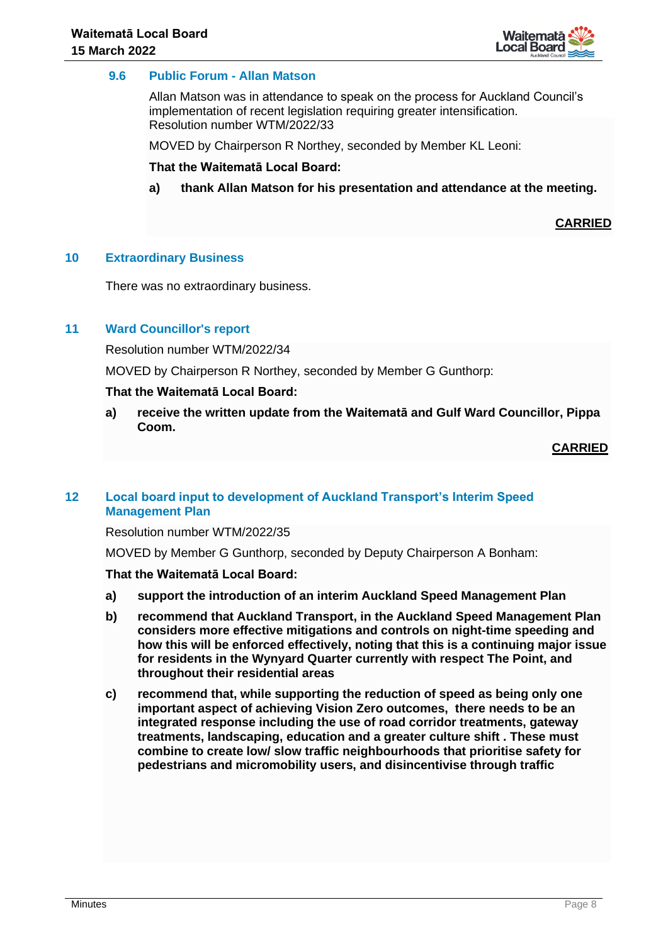

# **9.6 Public Forum - Allan Matson**

Allan Matson was in attendance to speak on the process for Auckland Council's implementation of recent legislation requiring greater intensification. Resolution number WTM/2022/33

MOVED by Chairperson R Northey, seconded by Member KL Leoni:

**That the Waitematā Local Board:**

**a) thank Allan Matson for his presentation and attendance at the meeting.**

**CARRIED**

## **10 Extraordinary Business**

There was no extraordinary business.

## **11 Ward Councillor's report**

Resolution number WTM/2022/34

MOVED by Chairperson R Northey, seconded by Member G Gunthorp:

#### **That the Waitematā Local Board:**

**a) receive the written update from the Waitematā and Gulf Ward Councillor, Pippa Coom.**

## **CARRIED**

# **12 Local board input to development of Auckland Transport's Interim Speed Management Plan**

Resolution number WTM/2022/35

MOVED by Member G Gunthorp, seconded by Deputy Chairperson A Bonham:

## **That the Waitematā Local Board:**

- **a) support the introduction of an interim Auckland Speed Management Plan**
- **b) recommend that Auckland Transport, in the Auckland Speed Management Plan considers more effective mitigations and controls on night-time speeding and how this will be enforced effectively, noting that this is a continuing major issue for residents in the Wynyard Quarter currently with respect The Point, and throughout their residential areas**
- **c) recommend that, while supporting the reduction of speed as being only one important aspect of achieving Vision Zero outcomes, there needs to be an integrated response including the use of road corridor treatments, gateway treatments, landscaping, education and a greater culture shift . These must combine to create low/ slow traffic neighbourhoods that prioritise safety for pedestrians and micromobility users, and disincentivise through traffic**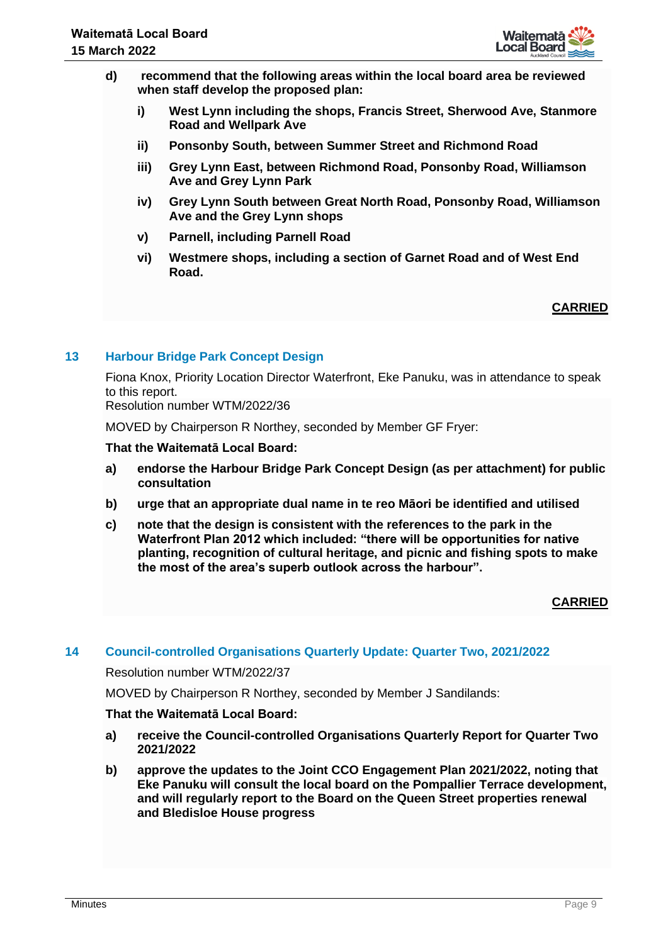

- **d) recommend that the following areas within the local board area be reviewed when staff develop the proposed plan:**
	- **i) West Lynn including the shops, Francis Street, Sherwood Ave, Stanmore Road and Wellpark Ave**
	- **ii) Ponsonby South, between Summer Street and Richmond Road**
	- **iii) Grey Lynn East, between Richmond Road, Ponsonby Road, Williamson Ave and Grey Lynn Park**
	- **iv) Grey Lynn South between Great North Road, Ponsonby Road, Williamson Ave and the Grey Lynn shops**
	- **v) Parnell, including Parnell Road**
	- **vi) Westmere shops, including a section of Garnet Road and of West End Road.**

# **CARRIED**

# **13 Harbour Bridge Park Concept Design**

Fiona Knox, Priority Location Director Waterfront, Eke Panuku, was in attendance to speak to this report.

Resolution number WTM/2022/36

MOVED by Chairperson R Northey, seconded by Member GF Fryer:

## **That the Waitematā Local Board:**

- **a) endorse the Harbour Bridge Park Concept Design (as per attachment) for public consultation**
- **b) urge that an appropriate dual name in te reo Māori be identified and utilised**
- **c) note that the design is consistent with the references to the park in the Waterfront Plan 2012 which included: "there will be opportunities for native planting, recognition of cultural heritage, and picnic and fishing spots to make the most of the area's superb outlook across the harbour".**

# **CARRIED**

## **14 Council-controlled Organisations Quarterly Update: Quarter Two, 2021/2022**

## Resolution number WTM/2022/37

MOVED by Chairperson R Northey, seconded by Member J Sandilands:

## **That the Waitematā Local Board:**

- **a) receive the Council-controlled Organisations Quarterly Report for Quarter Two 2021/2022**
- **b) approve the updates to the Joint CCO Engagement Plan 2021/2022, noting that Eke Panuku will consult the local board on the Pompallier Terrace development, and will regularly report to the Board on the Queen Street properties renewal and Bledisloe House progress**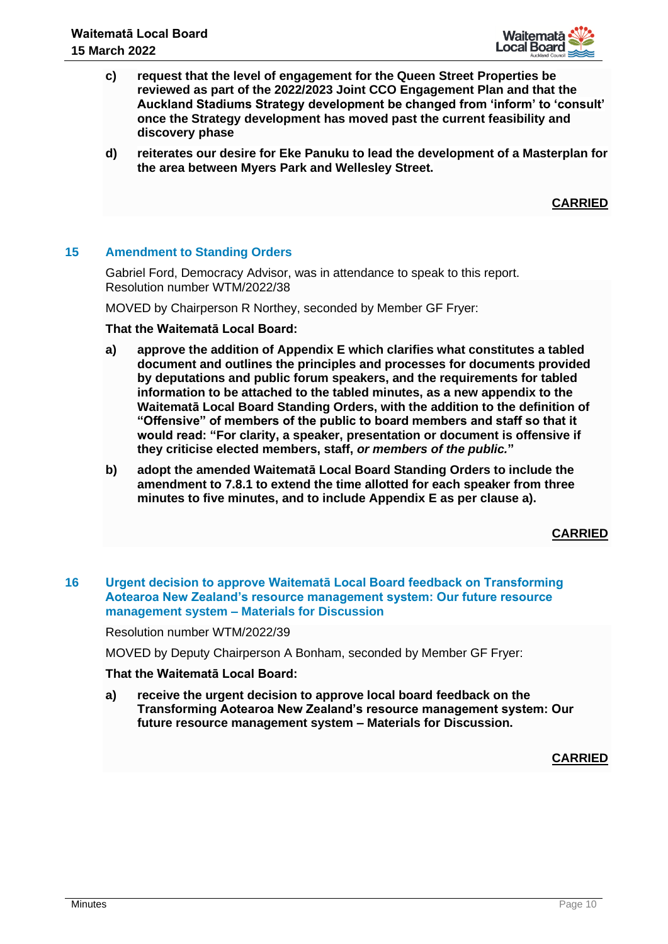

- **c) request that the level of engagement for the Queen Street Properties be reviewed as part of the 2022/2023 Joint CCO Engagement Plan and that the Auckland Stadiums Strategy development be changed from 'inform' to 'consult' once the Strategy development has moved past the current feasibility and discovery phase**
- **d) reiterates our desire for Eke Panuku to lead the development of a Masterplan for the area between Myers Park and Wellesley Street.**

**CARRIED**

## **15 Amendment to Standing Orders**

Gabriel Ford, Democracy Advisor, was in attendance to speak to this report. Resolution number WTM/2022/38

MOVED by Chairperson R Northey, seconded by Member GF Fryer:

## **That the Waitematā Local Board:**

- **a) approve the addition of Appendix E which clarifies what constitutes a tabled document and outlines the principles and processes for documents provided by deputations and public forum speakers, and the requirements for tabled information to be attached to the tabled minutes, as a new appendix to the Waitematā Local Board Standing Orders, with the addition to the definition of "Offensive" of members of the public to board members and staff so that it would read: "For clarity, a speaker, presentation or document is offensive if they criticise elected members, staff,** *or members of the public.***"**
- **b) adopt the amended Waitematā Local Board Standing Orders to include the amendment to 7.8.1 to extend the time allotted for each speaker from three minutes to five minutes, and to include Appendix E as per clause a).**

# **CARRIED**

**16 Urgent decision to approve Waitematā Local Board feedback on Transforming Aotearoa New Zealand's resource management system: Our future resource management system – Materials for Discussion**

Resolution number WTM/2022/39

MOVED by Deputy Chairperson A Bonham, seconded by Member GF Fryer:

## **That the Waitematā Local Board:**

**a) receive the urgent decision to approve local board feedback on the Transforming Aotearoa New Zealand's resource management system: Our future resource management system – Materials for Discussion.**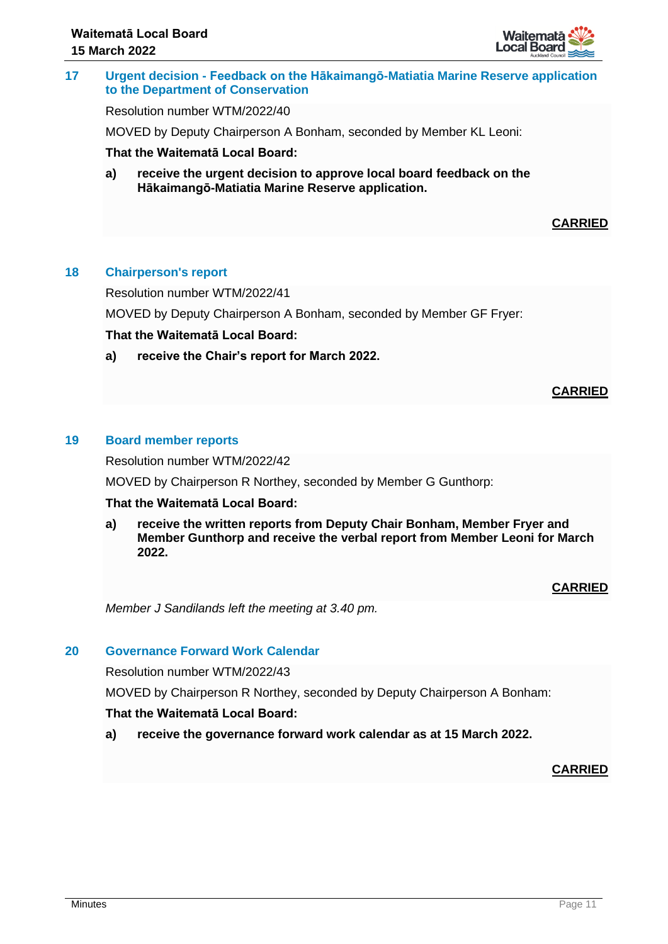

# **17 Urgent decision - Feedback on the Hākaimangō-Matiatia Marine Reserve application to the Department of Conservation**

Resolution number WTM/2022/40

MOVED by Deputy Chairperson A Bonham, seconded by Member KL Leoni:

## **That the Waitematā Local Board:**

**a) receive the urgent decision to approve local board feedback on the Hākaimangō-Matiatia Marine Reserve application.**

# **CARRIED**

## **18 Chairperson's report**

Resolution number WTM/2022/41

MOVED by Deputy Chairperson A Bonham, seconded by Member GF Fryer:

## **That the Waitematā Local Board:**

**a) receive the Chair's report for March 2022.**

## **CARRIED**

## **19 Board member reports**

Resolution number WTM/2022/42

MOVED by Chairperson R Northey, seconded by Member G Gunthorp:

## **That the Waitematā Local Board:**

**a) receive the written reports from Deputy Chair Bonham, Member Fryer and Member Gunthorp and receive the verbal report from Member Leoni for March 2022.**

# **CARRIED**

*Member J Sandilands left the meeting at 3.40 pm.*

# **20 Governance Forward Work Calendar**

Resolution number WTM/2022/43

MOVED by Chairperson R Northey, seconded by Deputy Chairperson A Bonham:

## **That the Waitematā Local Board:**

**a) receive the governance forward work calendar as at 15 March 2022.**